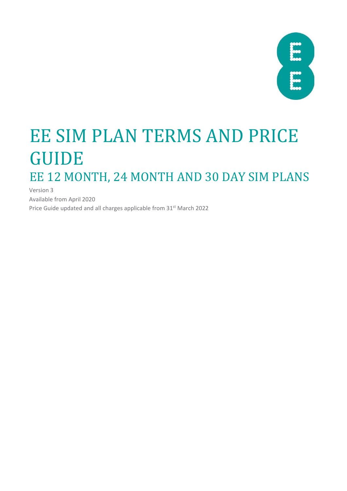| X |  |
|---|--|
|   |  |
|   |  |
|   |  |
|   |  |

# EE SIM PLAN TERMS AND PRICE GUIDE EE 12 MONTH, 24 MONTH AND 30 DAY SIM PLANS

Version 3 Available from April 2020 Price Guide updated and all charges applicable from 31<sup>st</sup> March 2022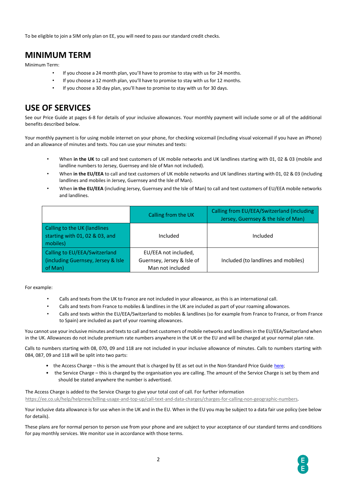To be eligible to join a SIM only plan on EE, you will need to pass our standard credit checks.

### **MINIMUM TERM**

Minimum Term:

- If you choose a 24 month plan, you'll have to promise to stay with us for 24 months.
- If you choose a 12 month plan, you'll have to promise to stay with us for 12 months.
- If you choose a 30 day plan, you'll have to promise to stay with us for 30 days.

### **USE OF SERVICES**

See our Price Guide at pages 6-8 for details of your inclusive allowances. Your monthly payment will include some or all of the additional benefits described below.

Your monthly payment is for using mobile internet on your phone, for checking voicemail (including visual voicemail if you have an iPhone) and an allowance of minutes and texts. You can use your minutes and texts:

- When **in the UK** to call and text customers of UK mobile networks and UK landlines starting with 01, 02 & 03 (mobile and landline numbers to Jersey, Guernsey and Isle of Man not included).
- When **in the EU/EEA** to call and text customers of UK mobile networks and UK landlines starting with 01, 02 & 03 (including landlines and mobiles in Jersey, Guernsey and the Isle of Man).
- When **in the EU/EEA** (including Jersey, Guernsey and the Isle of Man) to call and text customers of EU/EEA mobile networks and landlines.

|                                                                                 | Calling from the UK                                                    | Calling from EU/EEA/Switzerland (including<br>Jersey, Guernsey & the Isle of Man) |
|---------------------------------------------------------------------------------|------------------------------------------------------------------------|-----------------------------------------------------------------------------------|
| Calling to the UK (landlines<br>starting with 01, 02 & 03, and<br>mobiles)      | Included                                                               | Included                                                                          |
| Calling to EU/EEA/Switzerland<br>(including Guernsey, Jersey & Isle)<br>of Man) | EU/EEA not included,<br>Guernsey, Jersey & Isle of<br>Man not included | Included (to landlines and mobiles)                                               |

For example:

- Calls and texts from the UK to France are not included in your allowance, as this is an international call.
- Calls and texts from France to mobiles & landlines in the UK are included as part of your roaming allowances.
- Calls and texts within the EU/EEA/Switzerland to mobiles & landlines (so for example from France to France, or from France to Spain) are included as part of your roaming allowances.

You cannot use your inclusive minutes and texts to call and text customers of mobile networks and landlines in the EU/EEA/Switzerland when in the UK. Allowances do not include premium rate numbers anywhere in the UK or the EU and will be charged at your normal plan rate.

Calls to numbers starting with 08, 070, 09 and 118 are not included in your inclusive allowance of minutes. Calls to numbers starting with 084, 087, 09 and 118 will be split into two parts:

- the Access Charge this is the amount that is charged by EE as set out in the Non-Standard Price Guide [here;](https://ee.co.uk/help/help-new/price-plans/mobile/pay-monthly-price-plans)
- the Service Charge this is charged by the organisation you are calling. The amount of the Service Charge is set by them and should be stated anywhere the number is advertised.

The Access Charge is added to the Service Charge to give your total cost of call. For further information [https://ee.co.uk/help/helpnew/billing-usage-and-top-up/call-text-and-data-charges/charges-for-calling-non-geographic-numbers.](https://ee.co.uk/help/help-new/billing-usage-and-top-up/call-text-and-data-charges/charges-for-calling-non-geographic-numbers)

Your inclusive data allowance is for use when in the UK and in the EU. When in the EU you may be subject to a data fair use policy (see below for details).

These plans are for normal person to person use from your phone and are subject to your acceptance of our standard terms and conditions for pay monthly services. We monitor use in accordance with those terms.

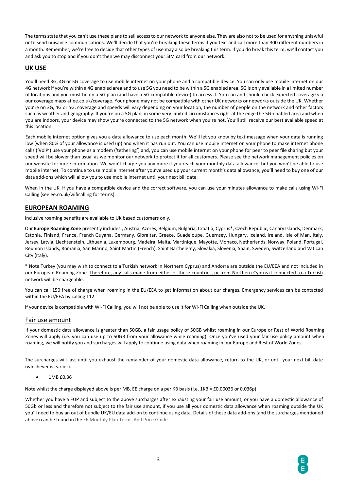The terms state that you can't use these plans to sell access to our network to anyone else. They are also not to be used for anything unlawful or to send nuisance communications. We'll decide that you're breaking these terms if you text and call more than 300 different numbers in a month. Remember, we're free to decide that other types of use may also be breaking this term. If you do break this term, we'll contact you and ask you to stop and if you don't then we may disconnect your SIM card from our network.

#### **UK USE**

You'll need 3G, 4G or 5G coverage to use mobile internet on your phone and a compatible device. You can only use mobile internet on our 4G network if you're within a 4G enabled area and to use 5G you need to be within a 5G enabled area. 5G is only available in a limited number of locations and you must be on a 5G plan (and have a 5G compatible device) to access it. You can and should check expected coverage via our coverage maps at ee.co.uk/coverage. Your phone may not be compatible with other UK networks or networks outside the UK. Whether you're on 3G, 4G or 5G, coverage and speeds will vary depending on your location, the number of people on the network and other factors such as weather and geography. If you're on a 5G plan, in some very limited circumstances right at the edge the 5G-enabled area and when you are indoors, your device may show you're connected to the 5G network when you're not. You'll still receive our best available speed at this location.

Each mobile internet option gives you a data allowance to use each month. We'll let you know by text message when your data is running low (when 80% of your allowance is used up) and when it has run out. You can use mobile internet on your phone to make internet phone calls ('VoiP') use your phone as a modem ('tethering') and, you can use mobile internet on your phone for peer to peer file sharing but your speed will be slower than usual as we monitor our network to protect it for all customers. Please see the network management policies on our website for more information. We won't charge you any more if you reach your monthly data allowance, but you won't be able to use mobile internet. To continue to use mobile internet after you've used up your current month's data allowance, you'll need to buy one of our data add-ons which will allow you to use mobile internet until your next bill date.

When in the UK, if you have a compatible device and the correct software, you can use your minutes allowance to make calls using Wi-Fi Calling (see ee.co.uk/wificalling for terms).

#### **EUROPEAN ROAMING**

Inclusive roaming benefits are available to UK based customers only.

Our **Europe Roaming Zone** presently includes:, Austria, Azores, Belgium, Bulgaria, Croatia, Cyprus\*, Czech Republic, Canary Islands, Denmark, Estonia, Finland, France, French Guyana, Germany, Gibraltar, Greece, Guadeloupe, Guernsey, Hungary, Iceland, Ireland, Isle of Man, Italy, Jersey, Latvia, Liechtenstein, Lithuania, Luxembourg, Madeira, Malta, Martinique, Mayotte, Monaco, Netherlands, Norway, Poland, Portugal, Reunion Islands, Romania, San Marino, Saint Martin (French), Saint Barthelemy, Slovakia, Slovenia, Spain, Sweden, Switzerland and Vatican City (Italy).

\* Note Turkey (you may wish to connect to a Turkish network in Northern Cyprus) and Andorra are outside the EU/EEA and not included in our European Roaming Zone. Therefore, any calls made from either of these countries, or from Northern Cyprus if connected to a Turkish network will be chargeable.

You can call 150 free of charge when roaming in the EU/EEA to get information about our charges. Emergency services can be contacted within the EU/EEA by calling 112.

If your device is compatible with Wi-Fi Calling, you will not be able to use it for Wi-Fi Calling when outside the UK.

#### Fair use amount

If your domestic data allowance is greater than 50GB, a fair usage policy of 50GB whilst roaming in our Europe or Rest of World Roaming Zones will apply (i.e. you can use up to 50GB from your allowance while roaming). Once you've used your fair use policy amount when roaming, we will notify you and surcharges will apply to continue using data when roaming in our Europe and Rest of World Zones.

The surcharges will last until you exhaust the remainder of your domestic data allowance, return to the UK, or until your next bill date (whichever is earlier).

• 1MB £0.36

Note whilst the charge displayed above is per MB, EE charge on a per KB basis (i.e. 1KB = £0.00036 or 0.036p).

Whether you have a FUP and subject to the above surcharges after exhausting your fair use amount, or you have a domestic allowance of 50Gb or less and therefore not subject to the fair use amount, if you use all your domestic data allowance when roaming outside the UK you'll need to buy an out of bundle UK/EU data add-on to continue using data. Details of these data add-ons (and the surcharges mentioned above) can be found in t[he](https://ee.co.uk/content/dam/ee-help/help-pdfs/ee-monthly-price-plan-guide-june-2018-v2.pdf) [EE Monthly Plan](https://ee.co.uk/content/dam/ee-help/help-pdfs/ee-monthly-price-plan-guide-june-2018-v2.pdf) Terms And Price Guid[e.](https://ee.co.uk/content/dam/ee-help/help-pdfs/ee-monthly-price-plan-guide-june-2018-v2.pdf)

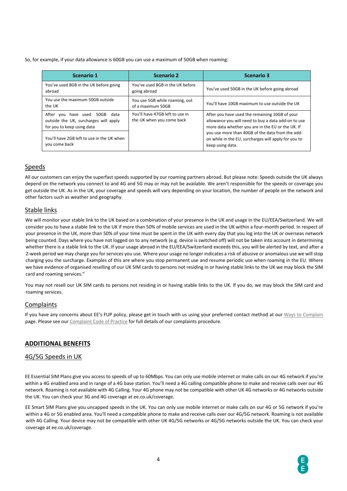So, for example, if your data allowance is 60GB you can use a maximum of 50GB when roaming:

| <b>Scenario 1</b>                                                                                             | <b>Scenario 2</b>                                            | <b>Scenario 3</b>                                                                                                                                          |
|---------------------------------------------------------------------------------------------------------------|--------------------------------------------------------------|------------------------------------------------------------------------------------------------------------------------------------------------------------|
| You've used 8GB in the UK before going<br>abroad                                                              | You've used 8GB in the UK before<br>going abroad             | You've used 50GB in the UK before going abroad                                                                                                             |
| You use the maximum 50GB outside<br>the UK                                                                    | You use 5GB while roaming, out<br>of a maximum 50GB          | You'll have 10GB maximum to use outside the UK                                                                                                             |
| After<br>vou have used<br>50GB<br>data<br>outside the UK, surcharges will apply<br>for you to keep using data | You'll have 47GB left to use in<br>the UK when you come back | After you have used the remaining 10GB of your<br>allowance you will need to buy a data add-on to use<br>more data whether you are in the EU or the UK. If |
| You'll have 2GB left to use in the UK when<br>you come back                                                   |                                                              | you use more than 40GB of the data from the add-<br>on while in the EU, surcharges will apply for you to<br>keep using data.                               |

#### Speeds

All our customers can enjoy the superfast speeds supported by our roaming partners abroad. But please note: Speeds outside the UK always depend on the network you connect to and 4G and 5G may or may not be available. We aren't responsible for the speeds or coverage you get outside the UK. As in the UK, your coverage and speeds will vary depending on your location, the number of people on the network and other factors such as weather and geography.

#### Stable links

We will monitor your stable link to the UK based on a combination of your presence in the UK and usage in the EU/EEA/Switzerland. We will consider you to have a stable link to the UK if more than 50% of mobile services are used in the UK within a four-month period. In respect of your presence in the UK, more than 50% of your time must be spent in the UK with every day that you log into the UK or overseas network being counted. Days where you have not logged on to any network (e.g. device is switched off) will not be taken into account in determining whether there is a stable link to the UK. If your usage abroad in the EU/EEA/Switzerland exceeds this, you will be alerted by text, and after a 2-week period we may charge you for services you use. Where your usage no longer indicates a risk of abusive or anomalous use we will stop charging you the surcharge. Examples of this are where you stop permanent use and resume periodic use when roaming in the EU. Where we have evidence of organised reselling of our UK SIM cards to persons not residing in or having stable links to the UK we may block the SIM card and roaming services."

You may not resell our UK SIM cards to persons not residing in or having stable links to the UK. If you do, we may block the SIM card and roaming services.

#### Complaints

If you have any concerns about EE's FUP policy, please get in touch with us using your preferred contact method at our [Ways to Complain](https://ee.co.uk/help/help-new/make-a-complaint) page. Please see o[ur](https://ee.co.uk/help/help-new/safety-and-security/protecting-your-information/complaints-code-of-practice) [Complaint Code](https://ee.co.uk/help/help-new/safety-and-security/protecting-your-information/complaints-code-of-practice) of Practice [fo](https://ee.co.uk/help/help-new/safety-and-security/protecting-your-information/complaints-code-of-practice)r full details of our complaints procedure.

#### **ADDITIONAL BENEFITS**

#### 4G/5G Speeds in UK

EE Essential SIM Plans give you access to speeds of up to 60Mbps. You can only use mobile internet or make calls on our 4G network if you're within a 4G enabled area and in range of a 4G base station. You'll need a 4G calling compatible phone to make and receive calls over our 4G network. Roaming is not available with 4G Calling. Your 4G phone may not be compatible with other UK 4G networks or 4G networks outside the UK. You can check your 3G and 4G coverage at ee.co.uk/coverage.

EE Smart SIM Plans give you uncapped speeds in the UK. You can only use mobile internet or make calls on our 4G or 5G network if you're within a 4G or 5G enabled area. You'll need a compatible phone to make and receive calls over our 4G/5G network. Roaming is not available with 4G Calling. Your device may not be compatible with other UK 4G/5G networks or 4G/5G networks outside the UK. You can check your coverage at ee.co.uk/coverage.

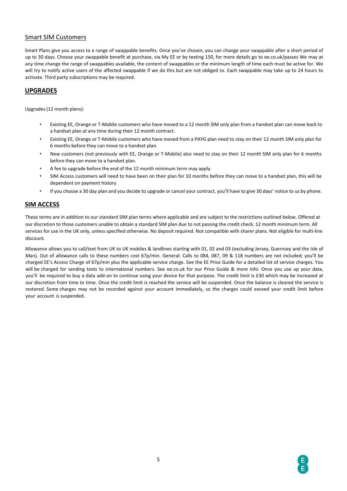#### Smart SIM Customers

Smart Plans give you access to a range of swappable benefits. Once you've chosen, you can change your swappable after a short period of up to 30 days. Choose your swappable benefit at purchase, via My EE or by texting 150, for more details go to ee.co.uk/passes We may at any time change the range of swappables available, the content of swappables or the minimum length of time each must be active for. We will try to notify active users of the affected swappable if we do this but are not obliged to. Each swappable may take up to 24 hours to activate. Third party subscriptions may be required.

#### **UPGRADES**

Upgrades (12 month plans):

- Existing EE, Orange or T-Mobile customers who have moved to a 12 month SIM only plan from a handset plan can move back to a handset plan at any time during their 12 month contract.
- Existing EE, Orange or T-Mobile customers who have moved from a PAYG plan need to stay on their 12 month SIM only plan for 6 months before they can move to a handset plan.
- New customers (not previously with EE, Orange or T-Mobile) also need to stay on their 12 month SIM only plan for 6 months before they can move to a handset plan.
- A fee to upgrade before the end of the 12 month minimum term may apply.
- SIM Access customers will need to have been on their plan for 10 months before they can move to a handset plan, this will be dependent on payment history
- If you choose a 30 day plan and you decide to upgrade or cancel your contract, you'll have to give 30 days' notice to us by phone.

#### **SIM ACCESS**

These terms are in addition to our standard SIM plan terms where applicable and are subject to the restrictions outlined below. Offered at our discretion to those customers unable to obtain a standard SIM plan due to not passing the credit check. 12 month minimum term. All services for use in the UK only, unless specified otherwise. No deposit required. Not compatible with sharer plans. Not eligible for multi-line discount.

Allowance allows you to call/text from UK to UK mobiles & landlines starting with 01, 02 and 03 (excluding Jersey, Guernsey and the Isle of Man). Out of allowance calls to these numbers cost 67p/min. General: Calls to 084, 087, 09 & 118 numbers are not included; you'll be charged EE's Access Charge of 67p/min plus the applicable service charge. See the EE Price Guide for a detailed list of service charges. You will be charged for sending texts to international numbers. See ee.co.uk for our Price Guide & more info. Once you use up your data, you'll be required to buy a data add-on to continue using your device for that purpose. The credit limit is £30 which may be increased at our discretion from time to time. Once the credit limit is reached the service will be suspended. Once the balance is cleared the service is restored. Some charges may not be recorded against your account immediately, so the charges could exceed your credit limit before your account is suspended.

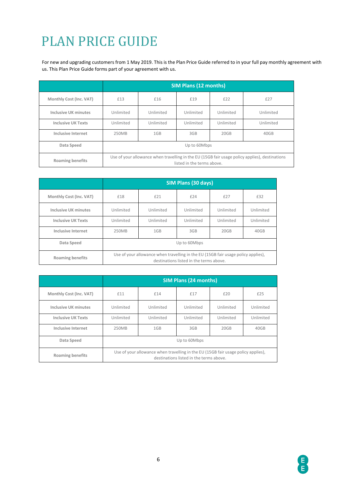## PLAN PRICE GUIDE

For new and upgrading customers from 1 May 2019. This is the Plan Price Guide referred to in your full pay monthly agreement with us. This Plan Price Guide forms part of your agreement with us.

|                           | <b>SIM Plans (12 months)</b>                                                                                                 |           |           |           |           |
|---------------------------|------------------------------------------------------------------------------------------------------------------------------|-----------|-----------|-----------|-----------|
| Monthly Cost (Inc. VAT)   | £13                                                                                                                          | £16       | £19       | £22       | £27       |
| Inclusive UK minutes      | Unlimited                                                                                                                    | Unlimited | Unlimited | Unlimited | Unlimited |
| <b>Inclusive UK Texts</b> | Unlimited                                                                                                                    | Unlimited | Unlimited | Unlimited | Unlimited |
| <b>Inclusive Internet</b> | 250MB                                                                                                                        | 1GB       | 3GB       | 20GB      | 40GB      |
| Data Speed                | Up to 60Mbps                                                                                                                 |           |           |           |           |
| <b>Roaming benefits</b>   | Use of your allowance when travelling in the EU (15GB fair usage policy applies), destinations<br>listed in the terms above. |           |           |           |           |

|                           | SIM Plans (30 days)                                                                                                          |           |           |           |           |
|---------------------------|------------------------------------------------------------------------------------------------------------------------------|-----------|-----------|-----------|-----------|
| Monthly Cost (Inc. VAT)   | £18                                                                                                                          | £21       | £24       | £27       | £32       |
| Inclusive UK minutes      | Unlimited                                                                                                                    | Unlimited | Unlimited | Unlimited | Unlimited |
| <b>Inclusive UK Texts</b> | Unlimited                                                                                                                    | Unlimited | Unlimited | Unlimited | Unlimited |
| Inclusive Internet        | 250MB                                                                                                                        | 1GB       | 3GB       | 20GB      | 40GB      |
| Data Speed                | Up to 60Mbps                                                                                                                 |           |           |           |           |
| <b>Roaming benefits</b>   | Use of your allowance when travelling in the EU (15GB fair usage policy applies),<br>destinations listed in the terms above. |           |           |           |           |

|                           | <b>SIM Plans (24 months)</b>                                                                                                 |           |           |           |           |
|---------------------------|------------------------------------------------------------------------------------------------------------------------------|-----------|-----------|-----------|-----------|
| Monthly Cost (Inc. VAT)   | £11                                                                                                                          | £14       | £17       | £20       | £25       |
| Inclusive UK minutes      | Unlimited                                                                                                                    | Unlimited | Unlimited | Unlimited | Unlimited |
| <b>Inclusive UK Texts</b> | Unlimited                                                                                                                    | Unlimited | Unlimited | Unlimited | Unlimited |
| Inclusive Internet        | 250MB                                                                                                                        | 1GB       | 3GB       | 20GB      | 40GB      |
| Data Speed                | Up to 60Mbps                                                                                                                 |           |           |           |           |
| <b>Roaming benefits</b>   | Use of your allowance when travelling in the EU (15GB fair usage policy applies),<br>destinations listed in the terms above. |           |           |           |           |

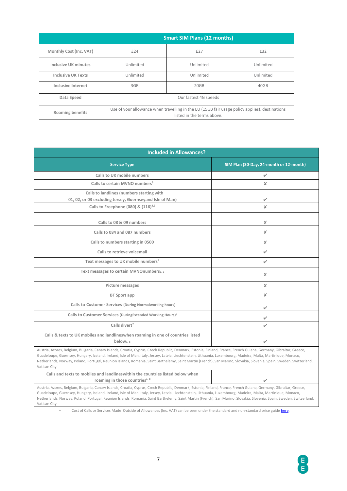|                           | <b>Smart SIM Plans (12 months)</b>                                                                                           |           |           |
|---------------------------|------------------------------------------------------------------------------------------------------------------------------|-----------|-----------|
| Monthly Cost (Inc. VAT)   | £24                                                                                                                          | £27       | £32       |
| Inclusive UK minutes      | Unlimited                                                                                                                    | Unlimited | Unlimited |
| <b>Inclusive UK Texts</b> | Unlimited                                                                                                                    | Unlimited | Unlimited |
| Inclusive Internet        | 3GB                                                                                                                          | 20GB      | 40GB      |
| Data Speed                | Our fastest 4G speeds                                                                                                        |           |           |
| <b>Roaming benefits</b>   | Use of your allowance when travelling in the EU (15GB fair usage policy applies), destinations<br>listed in the terms above. |           |           |

| <b>Included in Allowances?</b>                                                                                                                                                                                                                                                                                                                                                                                                                                                                                                |                                         |  |  |
|-------------------------------------------------------------------------------------------------------------------------------------------------------------------------------------------------------------------------------------------------------------------------------------------------------------------------------------------------------------------------------------------------------------------------------------------------------------------------------------------------------------------------------|-----------------------------------------|--|--|
| <b>Service Type</b>                                                                                                                                                                                                                                                                                                                                                                                                                                                                                                           | SIM Plan (30-Day, 24-month or 12-month) |  |  |
| Calls to UK mobile numbers                                                                                                                                                                                                                                                                                                                                                                                                                                                                                                    | ✓                                       |  |  |
| Calls to certain MVNO numbers <sup>3</sup>                                                                                                                                                                                                                                                                                                                                                                                                                                                                                    | $\boldsymbol{\mathsf{x}}$               |  |  |
| Calls to landlines (numbers starting with<br>01, 02, or 03 excluding Jersey, Guernseyand Isle of Man)                                                                                                                                                                                                                                                                                                                                                                                                                         | V                                       |  |  |
| Calls to Freephone (080) & (116) <sup>4,5</sup>                                                                                                                                                                                                                                                                                                                                                                                                                                                                               | $\boldsymbol{\times}$                   |  |  |
| Calls to 08 & 09 numbers<br>Calls to 084 and 087 numbers                                                                                                                                                                                                                                                                                                                                                                                                                                                                      | x<br>x                                  |  |  |
| Calls to numbers starting in 0500                                                                                                                                                                                                                                                                                                                                                                                                                                                                                             | x                                       |  |  |
| Calls to retrieve voicemail                                                                                                                                                                                                                                                                                                                                                                                                                                                                                                   | $\checkmark$                            |  |  |
| Text messages to UK mobile numbers <sup>5</sup>                                                                                                                                                                                                                                                                                                                                                                                                                                                                               | ✓                                       |  |  |
| Text messages to certain MVNOnumbers3, 5                                                                                                                                                                                                                                                                                                                                                                                                                                                                                      | $\pmb{\times}$                          |  |  |
| Picture messages                                                                                                                                                                                                                                                                                                                                                                                                                                                                                                              | x                                       |  |  |
| BT Sport app                                                                                                                                                                                                                                                                                                                                                                                                                                                                                                                  | $\pmb{\times}$                          |  |  |
| Calls to Customer Services (During Normalworking hours)                                                                                                                                                                                                                                                                                                                                                                                                                                                                       |                                         |  |  |
| Calls to Customer Services (DuringExtended Working Hours) <sup>6</sup>                                                                                                                                                                                                                                                                                                                                                                                                                                                        |                                         |  |  |
| Calls divert <sup>7</sup>                                                                                                                                                                                                                                                                                                                                                                                                                                                                                                     |                                         |  |  |
| Calls & texts to UK mobiles and landlineswhen roaming in one of countries listed<br>below <sub>1.8</sub>                                                                                                                                                                                                                                                                                                                                                                                                                      | ✓                                       |  |  |
| Austria, Azores, Belgium, Bulgaria, Canary Islands, Croatia, Cyprus, Czech Republic, Denmark, Estonia, Finland, France, French Guiana, Germany, Gibraltar, Greece,<br>Guadeloupe, Guernsey, Hungary, Iceland, Ireland, Isle of Man, Italy, Jersey, Latvia, Liechtenstein, Lithuania, Luxembourg, Madeira, Malta, Martinique, Monaco,<br>Netherlands, Norway, Poland, Portugal, Reunion Islands, Romania, Saint Barthelemy, Saint Martin (French), San Marino, Slovakia, Slovenia, Spain, Sweden, Switzerland,<br>Vatican City |                                         |  |  |
| Calls and texts to mobiles and landlineswithin the countries listed below when<br>roaming in those countries <sup>1, 8</sup>                                                                                                                                                                                                                                                                                                                                                                                                  |                                         |  |  |

Austria, Azores, Belgium, Bulgaria, Canary Islands, Croatia, Cyprus, Czech Republic, Denmark, Estonia, Finland, France, French Guiana, Germany, Gibraltar, Greece, Guadeloupe, Guernsey, Hungary, Iceland, Ireland, Isle of Man, Italy, Jersey, Latvia, Liechtenstein, Lithuania, Luxembourg, Madeira, Malta, Martinique, Monaco, Netherlands, Norway, Poland, Portugal, Reunion Islands, Romania, Saint Barthelemy, Saint Martin (French), San Marino, Slovakia, Slovenia, Spain, Sweden, Switzerland, Vatican City

\* Cost of Calls or Services Made Outside of Allowances (Inc. VAT) can be seen under the standard and non-standard price guide **here**.